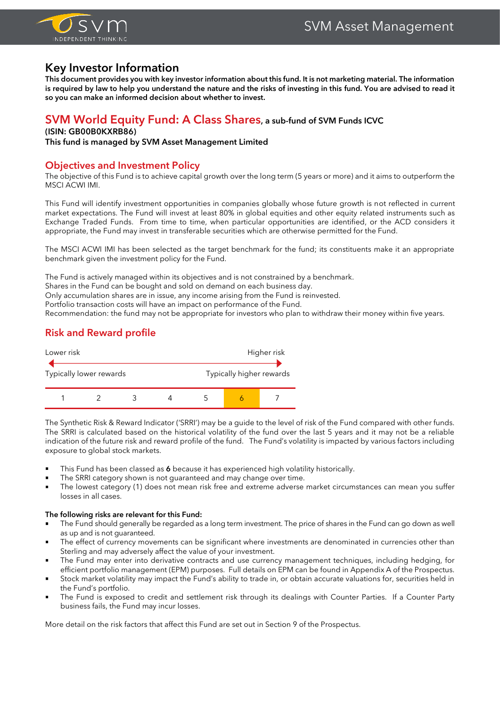

# **Key Investor Information**

**This document provides you with key investor information about this fund. It is not marketing material. The information is required by law to help you understand the nature and the risks of investing in this fund. You are advised to read it so you can make an informed decision about whether to invest.**

## **SVM World Equity Fund: A Class Shares, a sub-fund of SVM Funds ICVC**

## **(ISIN: GB00B0KXRB86)**

**This fund is managed by SVM Asset Management Limited**

## **Objectives and Investment Policy**

The objective of this Fund is to achieve capital growth over the long term (5 years or more) and it aims to outperform the MSCI ACWI IMI.

This Fund will identify investment opportunities in companies globally whose future growth is not reflected in current market expectations. The Fund will invest at least 80% in global equities and other equity related instruments such as Exchange Traded Funds. From time to time, when particular opportunities are identified, or the ACD considers it appropriate, the Fund may invest in transferable securities which are otherwise permitted for the Fund.

The MSCI ACWI IMI has been selected as the target benchmark for the fund; its constituents make it an appropriate benchmark given the investment policy for the Fund.

The Fund is actively managed within its objectives and is not constrained by a benchmark.

Shares in the Fund can be bought and sold on demand on each business day.

Only accumulation shares are in issue, any income arising from the Fund is reinvested.

Portfolio transaction costs will have an impact on performance of the Fund.

Recommendation: the fund may not be appropriate for investors who plan to withdraw their money within five years.

## **Risk and Reward profile**



The Synthetic Risk & Reward Indicator ('SRRI') may be a guide to the level of risk of the Fund compared with other funds. The SRRI is calculated based on the historical volatility of the fund over the last 5 years and it may not be a reliable indication of the future risk and reward profile of the fund. The Fund's volatility is impacted by various factors including exposure to global stock markets.

- This Fund has been classed as 6 because it has experienced high volatility historically.
- The SRRI category shown is not guaranteed and may change over time.
- The lowest category (1) does not mean risk free and extreme adverse market circumstances can mean you suffer losses in all cases.

#### **The following risks are relevant for this Fund:**

- The Fund should generally be regarded as a long term investment. The price of shares in the Fund can go down as well as up and is not guaranteed.
- The effect of currency movements can be significant where investments are denominated in currencies other than Sterling and may adversely affect the value of your investment.
- The Fund may enter into derivative contracts and use currency management techniques, including hedging, for efficient portfolio management (EPM) purposes. Full details on EPM can be found in Appendix A of the Prospectus.
- Stock market volatility may impact the Fund's ability to trade in, or obtain accurate valuations for, securities held in the Fund's portfolio.
- The Fund is exposed to credit and settlement risk through its dealings with Counter Parties. If a Counter Party business fails, the Fund may incur losses.

More detail on the risk factors that affect this Fund are set out in Section 9 of the Prospectus.